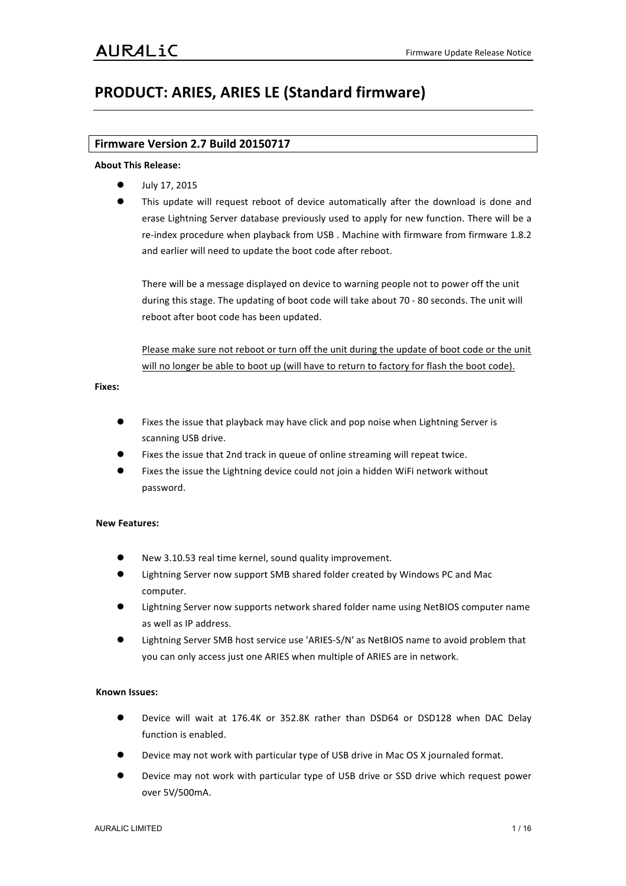# **PRODUCT: ARIES, ARIES LE (Standard firmware)**

# **Firmware Version 2.7 Build 20150717**

# **About!This!Release:**

- July 17, 2015
- This update will request reboot of device automatically after the download is done and erase Lightning Server database previously used to apply for new function. There will be a re-index procedure when playback from USB. Machine with firmware from firmware 1.8.2 and earlier will need to update the boot code after reboot.

There will be a message displayed on device to warning people not to power off the unit during this stage. The updating of boot code will take about 70 - 80 seconds. The unit will reboot after boot code has been updated.

Please make sure not reboot or turn off the unit during the update of boot code or the unit will no longer be able to boot up (will have to return to factory for flash the boot code).

## **Fixes:**

- Fixes the issue that playback may have click and pop noise when Lightning Server is scanning USB drive.
- Fixes the issue that 2nd track in queue of online streaming will repeat twice.
- Fixes the issue the Lightning device could not join a hidden WiFi network without password.

# **New!Features:**

- New 3.10.53 real time kernel, sound quality improvement.
- Lightning Server now support SMB shared folder created by Windows PC and Mac computer.
- Lightning Server now supports network shared folder name using NetBIOS computer name as well as IP address.
- Lightning Server SMB host service use 'ARIES-S/N' as NetBIOS name to avoid problem that you can only access just one ARIES when multiple of ARIES are in network.

- Device will wait at 176.4K or 352.8K rather than DSD64 or DSD128 when DAC Delay function is enabled.
- Device may not work with particular type of USB drive in Mac OS X journaled format.
- Device may not work with particular type of USB drive or SSD drive which request power over!5V/500mA.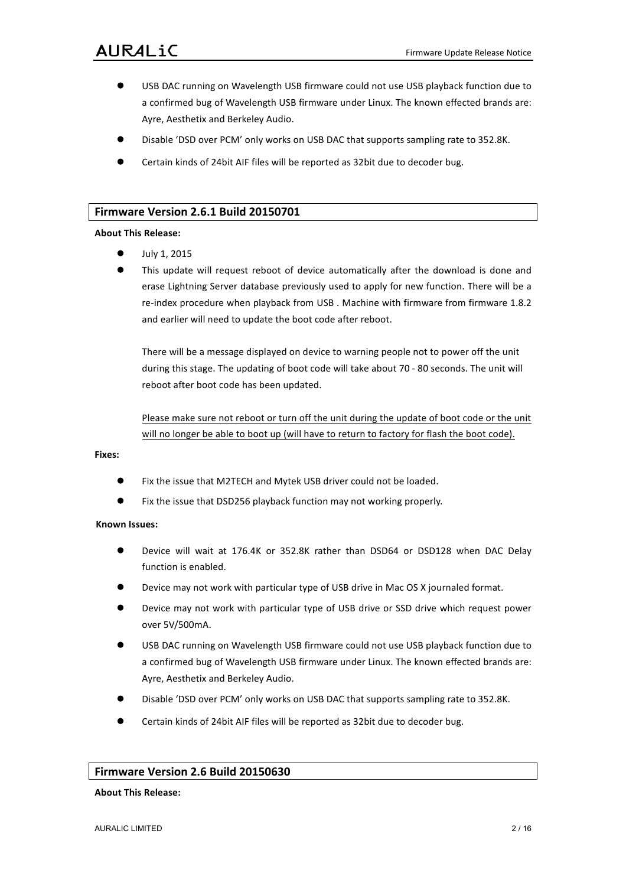- USB DAC running on Wavelength USB firmware could not use USB playback function due to a confirmed bug of Wavelength USB firmware under Linux. The known effected brands are: Ayre, Aesthetix and Berkeley Audio.
- Disable 'DSD over PCM' only works on USB DAC that supports sampling rate to 352.8K.
- Certain kinds of 24bit AIF files will be reported as 32bit due to decoder bug.

# **Firmware Version 2.6.1 Build 20150701**

## **About!This!Release:**

- July 1, 2015
- This update will request reboot of device automatically after the download is done and erase Lightning Server database previously used to apply for new function. There will be a re-index procedure when playback from USB. Machine with firmware from firmware 1.8.2 and earlier will need to update the boot code after reboot.

There will be a message displayed on device to warning people not to power off the unit during this stage. The updating of boot code will take about 70 - 80 seconds. The unit will reboot after boot code has been updated.

Please make sure not reboot or turn off the unit during the update of boot code or the unit will no longer be able to boot up (will have to return to factory for flash the boot code).

#### **Fixes:**

- Fix the issue that M2TECH and Mytek USB driver could not be loaded.
- Fix the issue that DSD256 playback function may not working properly.

#### **Known!Issues:**

- Device will wait at 176.4K or 352.8K rather than DSD64 or DSD128 when DAC Delay function is enabled.
- Device may not work with particular type of USB drive in Mac OS X journaled format.
- Device may not work with particular type of USB drive or SSD drive which request power over!5V/500mA.
- USB DAC running on Wavelength USB firmware could not use USB playback function due to a confirmed bug of Wavelength USB firmware under Linux. The known effected brands are: Ayre, Aesthetix and Berkeley Audio.
- Disable 'DSD over PCM' only works on USB DAC that supports sampling rate to 352.8K.
- Certain kinds of 24bit AIF files will be reported as 32bit due to decoder bug.

# **Firmware Version 2.6 Build 20150630**

## **About!This!Release:**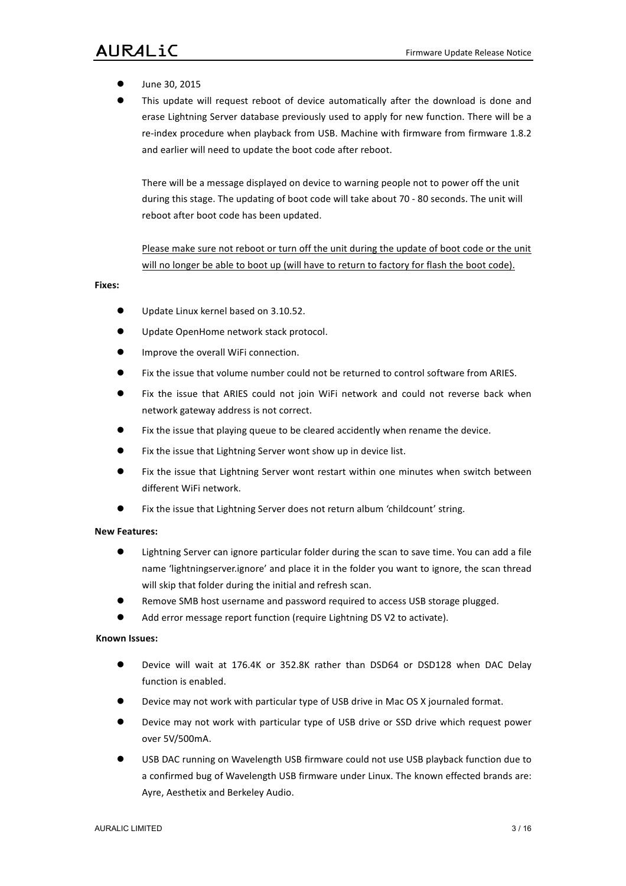- June 30, 2015
- This update will request reboot of device automatically after the download is done and erase Lightning Server database previously used to apply for new function. There will be a re-index procedure when playback from USB. Machine with firmware from firmware 1.8.2 and earlier will need to update the boot code after reboot.

There will be a message displayed on device to warning people not to power off the unit during this stage. The updating of boot code will take about 70 - 80 seconds. The unit will reboot after boot code has been updated.

# Please make sure not reboot or turn off the unit during the update of boot code or the unit will no longer be able to boot up (will have to return to factory for flash the boot code).

#### **Fixes:**

- Update Linux kernel based on 3.10.52.
- Update OpenHome network stack protocol.
- Improve the overall WiFi connection.
- Fix the issue that volume number could not be returned to control software from ARIES.
- Fix the issue that ARIES could not join WiFi network and could not reverse back when network gateway address is not correct.
- $\bullet$  Fix the issue that playing queue to be cleared accidently when rename the device.
- Fix the issue that Lightning Server wont show up in device list.
- $\bullet$  Fix the issue that Lightning Server wont restart within one minutes when switch between different WiFi network.
- Fix the issue that Lightning Server does not return album 'childcount' string.

#### **New!Features:**

- $\bullet$  Lightning Server can ignore particular folder during the scan to save time. You can add a file name 'lightningserver.ignore' and place it in the folder you want to ignore, the scan thread will skip that folder during the initial and refresh scan.
- Remove SMB host username and password required to access USB storage plugged.
- Add error message report function (require Lightning DS V2 to activate).

- Device will wait at 176.4K or 352.8K rather than DSD64 or DSD128 when DAC Delay function is enabled.
- Device may not work with particular type of USB drive in Mac OS X journaled format.
- Device may not work with particular type of USB drive or SSD drive which request power over!5V/500mA.
- USB DAC running on Wavelength USB firmware could not use USB playback function due to a confirmed bug of Wavelength USB firmware under Linux. The known effected brands are: Ayre, Aesthetix and Berkeley Audio.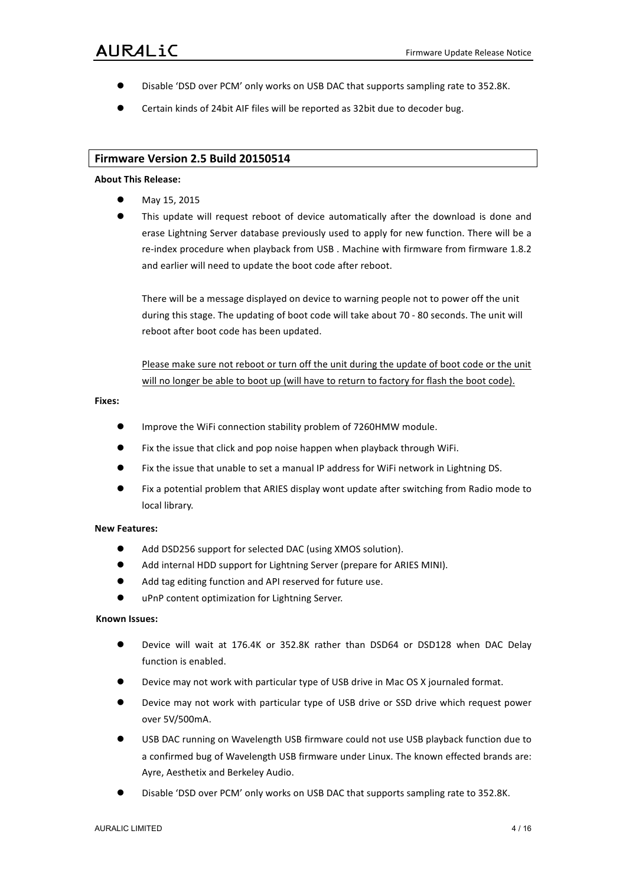- Disable 'DSD over PCM' only works on USB DAC that supports sampling rate to 352.8K.
- Certain kinds of 24bit AIF files will be reported as 32bit due to decoder bug.

# **Firmware Version 2.5 Build 20150514**

#### **About!This!Release:**

- May 15, 2015
- This update will request reboot of device automatically after the download is done and erase Lightning Server database previously used to apply for new function. There will be a re-index procedure when playback from USB. Machine with firmware from firmware 1.8.2 and earlier will need to update the boot code after reboot.

There will be a message displayed on device to warning people not to power off the unit during this stage. The updating of boot code will take about 70 - 80 seconds. The unit will reboot after boot code has been updated.

Please make sure not reboot or turn off the unit during the update of boot code or the unit will no longer be able to boot up (will have to return to factory for flash the boot code).

#### **Fixes:**

- Improve the WiFi connection stability problem of 7260HMW module.
- **.** Fix the issue that click and pop noise happen when playback through WiFi.
- Fix the issue that unable to set a manual IP address for WiFi network in Lightning DS.
- Fix a potential problem that ARIES display wont update after switching from Radio mode to local library.

#### **New!Features:**

- $\bullet$  Add DSD256 support for selected DAC (using XMOS solution).
- Add internal HDD support for Lightning Server (prepare for ARIES MINI).
- Add tag editing function and API reserved for future use.
- uPnP content optimization for Lightning Server.

- Device will wait at 176.4K or 352.8K rather than DSD64 or DSD128 when DAC Delay function is enabled.
- Device may not work with particular type of USB drive in Mac OS X journaled format.
- Device may not work with particular type of USB drive or SSD drive which request power over!5V/500mA.
- USB DAC running on Wavelength USB firmware could not use USB playback function due to a confirmed bug of Wavelength USB firmware under Linux. The known effected brands are: Ayre, Aesthetix and Berkeley Audio.
- Disable 'DSD over PCM' only works on USB DAC that supports sampling rate to 352.8K.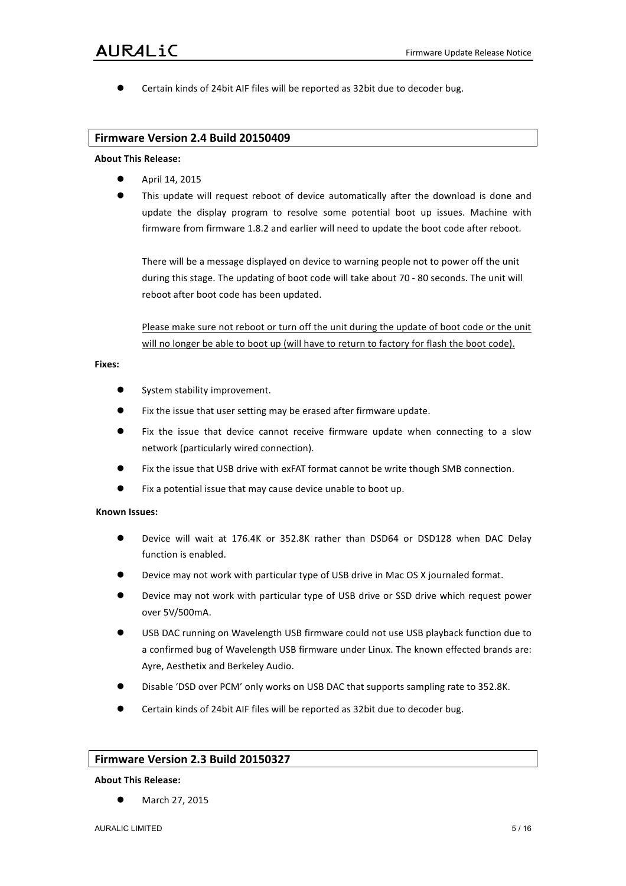Certain kinds of 24bit AIF files will be reported as 32bit due to decoder bug.

# **Firmware Version 2.4 Build 20150409**

#### **About!This!Release:**

- April 14, 2015
- This update will request reboot of device automatically after the download is done and update the display program to resolve some potential boot up issues. Machine with firmware from firmware 1.8.2 and earlier will need to update the boot code after reboot.

There will be a message displayed on device to warning people not to power off the unit during this stage. The updating of boot code will take about 70 - 80 seconds. The unit will reboot after boot code has been updated.

Please make sure not reboot or turn off the unit during the update of boot code or the unit will no longer be able to boot up (will have to return to factory for flash the boot code).

# **Fixes:**

- System stability improvement.
- Fix the issue that user setting may be erased after firmware update.
- Fix the issue that device cannot receive firmware update when connecting to a slow network (particularly wired connection).
- Fix the issue that USB drive with exFAT format cannot be write though SMB connection.
- Fix a potential issue that may cause device unable to boot up.

## **Known!Issues:**

- Device will wait at 176.4K or 352.8K rather than DSD64 or DSD128 when DAC Delay function is enabled.
- Device may not work with particular type of USB drive in Mac OS X journaled format.
- Device may not work with particular type of USB drive or SSD drive which request power over!5V/500mA.
- USB DAC running on Wavelength USB firmware could not use USB playback function due to a confirmed bug of Wavelength USB firmware under Linux. The known effected brands are: Ayre, Aesthetix and Berkeley Audio.
- Disable 'DSD over PCM' only works on USB DAC that supports sampling rate to 352.8K.
- Certain kinds of 24bit AIF files will be reported as 32bit due to decoder bug.

# **Firmware Version 2.3 Build 20150327**

#### **About!This!Release:**

March 27, 2015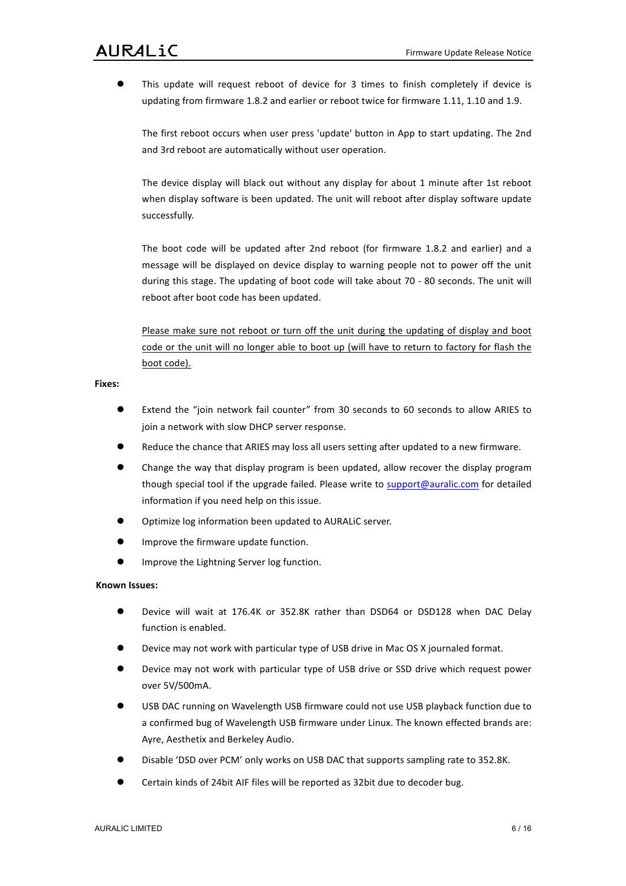This update will request reboot of device for 3 times to finish completely if device is updating from firmware 1.8.2 and earlier or reboot twice for firmware 1.11, 1.10 and 1.9.

The first reboot occurs when user press 'update' button in App to start updating. The 2nd and 3rd reboot are automatically without user operation.

The device display will black out without any display for about 1 minute after 1st reboot when display software is been updated. The unit will reboot after display software update successfully.

The boot code will be updated after 2nd reboot (for firmware 1.8.2 and earlier) and a message will be displayed on device display to warning people not to power off the unit during this stage. The updating of boot code will take about 70 - 80 seconds. The unit will reboot after boot code has been updated.

Please make sure not reboot or turn off the unit during the updating of display and boot code or the unit will no longer able to boot up (will have to return to factory for flash the boot code).

## **Fixes:**

- Extend the "join network fail counter" from 30 seconds to 60 seconds to allow ARIES to join a network with slow DHCP server response.
- Reduce the chance that ARIES may loss all users setting after updated to a new firmware.
- Change the way that display program is been updated, allow recover the display program though special tool if the upgrade failed. Please write to support@auralic.com for detailed information if you need help on this issue.
- Optimize log information been updated to AURALiC server.
- Improve the firmware update function.
- **Improve the Lightning Server log function.**

- Device will wait at 176.4K or 352.8K rather than DSD64 or DSD128 when DAC Delay function is enabled.
- Device may not work with particular type of USB drive in Mac OS X journaled format.
- Device may not work with particular type of USB drive or SSD drive which request power over!5V/500mA.
- USB DAC running on Wavelength USB firmware could not use USB playback function due to a confirmed bug of Wavelength USB firmware under Linux. The known effected brands are: Ayre, Aesthetix and Berkeley Audio.
- Disable 'DSD over PCM' only works on USB DAC that supports sampling rate to 352.8K.
- Certain kinds of 24bit AIF files will be reported as 32bit due to decoder bug.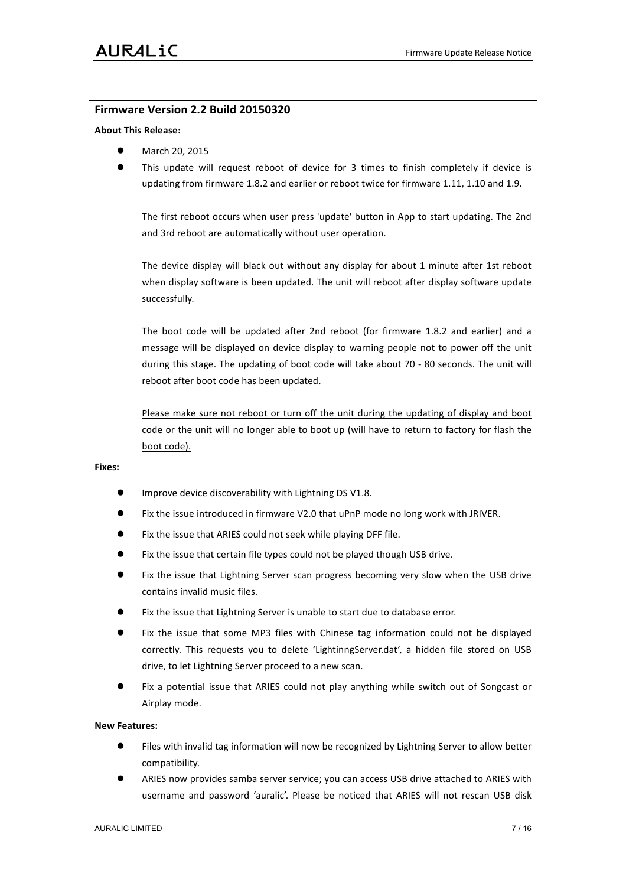# **Firmware Version 2.2 Build 20150320**

### **About!This!Release:**

- March 20, 2015
- This update will request reboot of device for 3 times to finish completely if device is updating from firmware 1.8.2 and earlier or reboot twice for firmware 1.11, 1.10 and 1.9.

The first reboot occurs when user press 'update' button in App to start updating. The 2nd and 3rd reboot are automatically without user operation.

The device display will black out without any display for about 1 minute after 1st reboot when display software is been updated. The unit will reboot after display software update successfully.

The boot code will be updated after 2nd reboot (for firmware 1.8.2 and earlier) and a message will be displayed on device display to warning people not to power off the unit during this stage. The updating of boot code will take about 70 - 80 seconds. The unit will reboot after boot code has been updated.

Please make sure not reboot or turn off the unit during the updating of display and boot code or the unit will no longer able to boot up (will have to return to factory for flash the boot code).

# **Fixes:**

- Improve device discoverability with Lightning DS V1.8.
- Fix the issue introduced in firmware V2.0 that uPnP mode no long work with JRIVER.
- Fix the issue that ARIES could not seek while playing DFF file.
- Fix the issue that certain file types could not be played though USB drive.
- Fix the issue that Lightning Server scan progress becoming very slow when the USB drive contains invalid music files.
- Fix the issue that Lightning Server is unable to start due to database error.
- Fix the issue that some MP3 files with Chinese tag information could not be displayed correctly. This requests you to delete 'LightinngServer.dat', a hidden file stored on USB drive, to let Lightning Server proceed to a new scan.
- Fix a potential issue that ARIES could not play anything while switch out of Songcast or Airplay mode.

#### **New!Features:**

- Files with invalid tag information will now be recognized by Lightning Server to allow better compatibility.
- ARIES now provides samba server service; you can access USB drive attached to ARIES with username and password 'auralic'. Please be noticed that ARIES will not rescan USB disk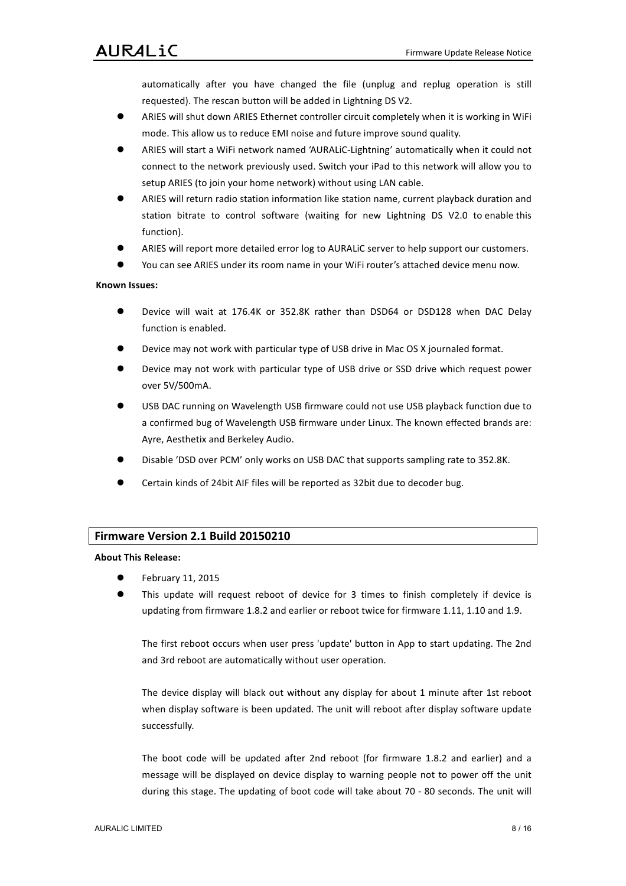automatically after you have changed the file (unplug and replug operation is still requested). The rescan button will be added in Lightning DS V2.

- ARIES will shut down ARIES Ethernet controller circuit completely when it is working in WiFi mode. This allow us to reduce EMI noise and future improve sound quality.
- ARIES will start a WiFi network named 'AURALiC-Lightning' automatically when it could not connect to the network previously used. Switch your iPad to this network will allow you to setup ARIES (to join your home network) without using LAN cable.
- ARIES will return radio station information like station name, current playback duration and station bitrate to control software (waiting for new Lightning DS V2.0 to enable this function).
- ARIES will report more detailed error log to AURALiC server to help support our customers.
- You can see ARIES under its room name in your WiFi router's attached device menu now.

# **Known!Issues:**

- Device will wait at 176.4K or 352.8K rather than DSD64 or DSD128 when DAC Delay function is enabled.
- Device may not work with particular type of USB drive in Mac OS X journaled format.
- Device may not work with particular type of USB drive or SSD drive which request power over!5V/500mA.
- USB DAC running on Wavelength USB firmware could not use USB playback function due to a confirmed bug of Wavelength USB firmware under Linux. The known effected brands are: Ayre, Aesthetix and Berkeley Audio.
- Disable 'DSD over PCM' only works on USB DAC that supports sampling rate to 352.8K.
- Certain kinds of 24bit AIF files will be reported as 32bit due to decoder bug.

# **Firmware Version 2.1 Build 20150210**

#### **About This Release:**

- February 11, 2015
- This update will request reboot of device for 3 times to finish completely if device is updating from firmware 1.8.2 and earlier or reboot twice for firmware 1.11, 1.10 and 1.9.

The first reboot occurs when user press 'update' button in App to start updating. The 2nd and 3rd reboot are automatically without user operation.

The device display will black out without any display for about 1 minute after 1st reboot when display software is been updated. The unit will reboot after display software update successfully.

The boot code will be updated after 2nd reboot (for firmware 1.8.2 and earlier) and a message will be displayed on device display to warning people not to power off the unit during this stage. The updating of boot code will take about 70 - 80 seconds. The unit will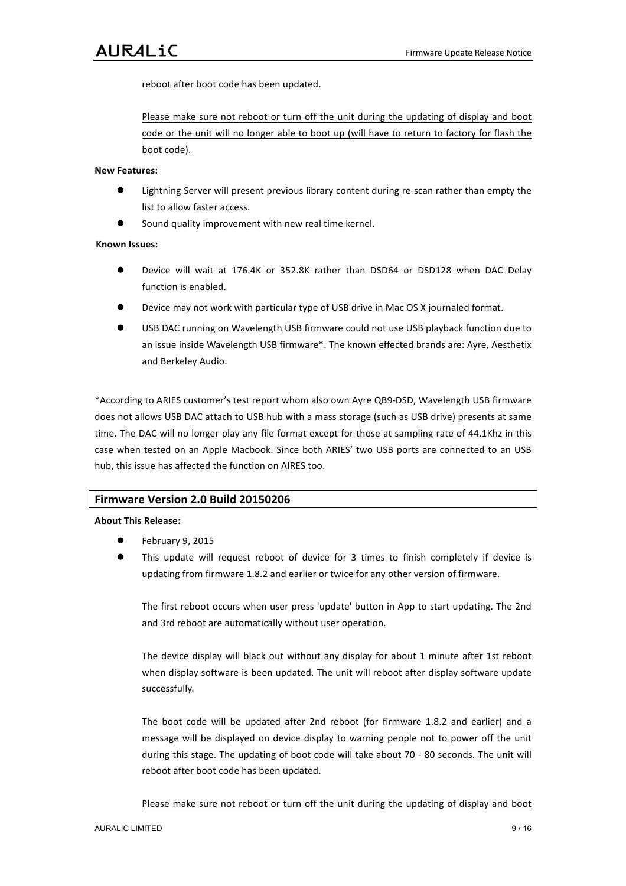reboot after boot code has been updated.

Please make sure not reboot or turn off the unit during the updating of display and boot code or the unit will no longer able to boot up (will have to return to factory for flash the boot code).

### **New!Features:**

- Lightning Server will present previous library content during re-scan rather than empty the list to allow faster access.
- Sound quality improvement with new real time kernel.

# **Known!Issues:**

- Device will wait at 176.4K or 352.8K rather than DSD64 or DSD128 when DAC Delay function is enabled.
- Device may not work with particular type of USB drive in Mac OS X journaled format.
- USB DAC running on Wavelength USB firmware could not use USB playback function due to an issue inside Wavelength USB firmware\*. The known effected brands are: Ayre, Aesthetix and Berkeley Audio.

\*According to ARIES customer's test report whom also own Ayre QB9-DSD, Wavelength USB firmware does not allows USB DAC attach to USB hub with a mass storage (such as USB drive) presents at same time. The DAC will no longer play any file format except for those at sampling rate of 44.1Khz in this case when tested on an Apple Macbook. Since both ARIES' two USB ports are connected to an USB hub, this issue has affected the function on AIRES too.

# **Firmware Version 2.0 Build 20150206**

#### **About!This!Release:**

- February 9, 2015
- This update will request reboot of device for 3 times to finish completely if device is updating from firmware 1.8.2 and earlier or twice for any other version of firmware.

The first reboot occurs when user press 'update' button in App to start updating. The 2nd and 3rd reboot are automatically without user operation.

The device display will black out without any display for about 1 minute after 1st reboot when display software is been updated. The unit will reboot after display software update successfully.

The boot code will be updated after 2nd reboot (for firmware 1.8.2 and earlier) and a message will be displayed on device display to warning people not to power off the unit during this stage. The updating of boot code will take about 70 - 80 seconds. The unit will reboot after boot code has been updated.

Please make sure not reboot or turn off the unit during the updating of display and boot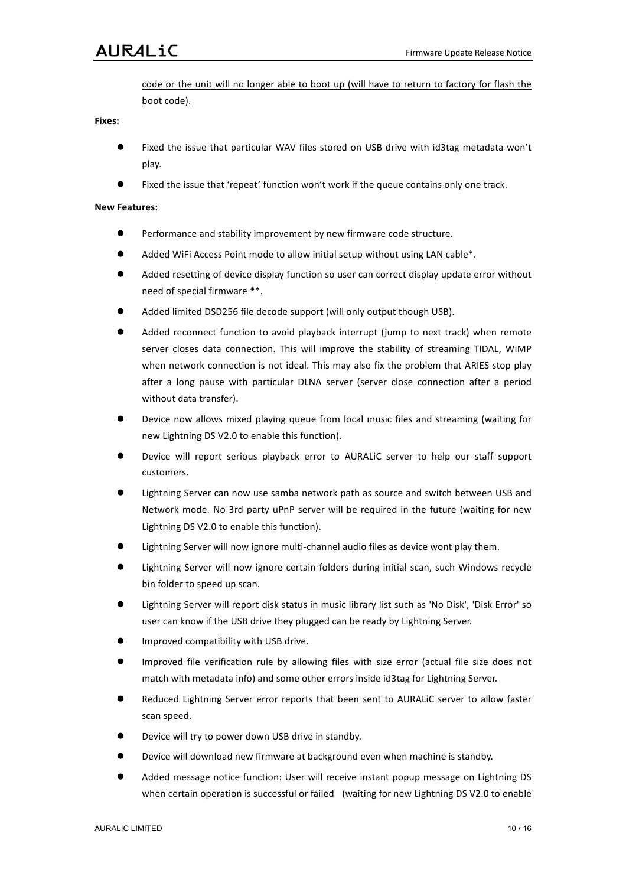# **AURALiC**

code or the unit will no longer able to boot up (will have to return to factory for flash the boot code).

#### **Fixes:**

- Fixed the issue that particular WAV files stored on USB drive with id3tag metadata won't play.
- Fixed the issue that 'repeat' function won't work if the queue contains only one track.

# **New!Features:**

- Performance and stability improvement by new firmware code structure.
- $\bullet$  Added WiFi Access Point mode to allow initial setup without using LAN cable\*.
- Added resetting of device display function so user can correct display update error without need of special firmware \*\*.
- Added limited DSD256 file decode support (will only output though USB).
- Added reconnect function to avoid playback interrupt (jump to next track) when remote server closes data connection. This will improve the stability of streaming TIDAL, WiMP when network connection is not ideal. This may also fix the problem that ARIES stop play after a long pause with particular DLNA server (server close connection after a period without data transfer).
- Device now allows mixed playing queue from local music files and streaming (waiting for new Lightning DS V2.0 to enable this function).
- Device will report serious playback error to AURALiC server to help our staff support customers.
- Lightning Server can now use samba network path as source and switch between USB and Network mode. No 3rd party uPnP server will be required in the future (waiting for new Lightning DS V2.0 to enable this function).
- Lightning Server will now ignore multi-channel audio files as device wont play them.
- Lightning Server will now ignore certain folders during initial scan, such Windows recycle bin folder to speed up scan.
- Lightning Server will report disk status in music library list such as 'No Disk', 'Disk Error' so user can know if the USB drive they plugged can be ready by Lightning Server.
- Improved compatibility with USB drive.
- Improved file verification rule by allowing files with size error (actual file size does not match with metadata info) and some other errors inside id3tag for Lightning Server.
- Reduced Lightning Server error reports that been sent to AURALIC server to allow faster scan speed.
- Device will try to power down USB drive in standby.
- Device will download new firmware at background even when machine is standby.
- Added message notice function: User will receive instant popup message on Lightning DS when certain operation is successful or failed (waiting for new Lightning DS V2.0 to enable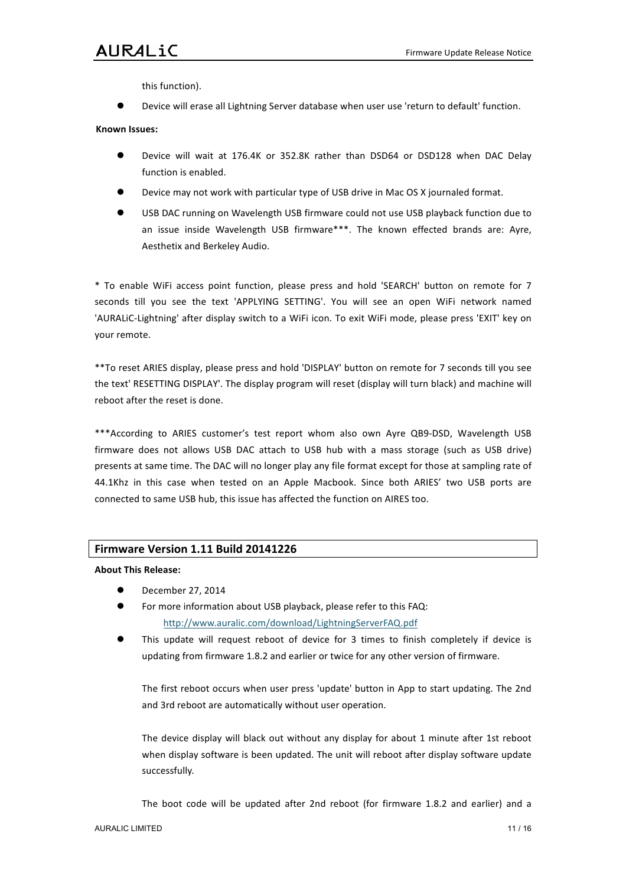# AURALiC

this function).

Device will erase all Lightning Server database when user use 'return to default' function.

### **Known!Issues:**

- Device will wait at 176.4K or 352.8K rather than DSD64 or DSD128 when DAC Delay function is enabled.
- Device may not work with particular type of USB drive in Mac OS X journaled format.
- USB DAC running on Wavelength USB firmware could not use USB playback function due to an issue inside Wavelength USB firmware\*\*\*. The known effected brands are: Ayre, Aesthetix and Berkeley Audio.

\* To enable WiFi access point function, please press and hold 'SEARCH' button on remote for 7 seconds till you see the text 'APPLYING SETTING'. You will see an open WiFi network named 'AURALiC-Lightning' after display switch to a WiFi icon. To exit WiFi mode, please press 'EXIT' key on your remote.

\*\* To reset ARIES display, please press and hold 'DISPLAY' button on remote for 7 seconds till you see the text' RESETTING DISPLAY'. The display program will reset (display will turn black) and machine will reboot after the reset is done.

\*\*\*According to ARIES customer's test report whom also own Ayre QB9-DSD, Wavelength USB firmware does not allows USB DAC attach to USB hub with a mass storage (such as USB drive) presents at same time. The DAC will no longer play any file format except for those at sampling rate of 44.1Khz in this case when tested on an Apple Macbook. Since both ARIES' two USB ports are connected to same USB hub, this issue has affected the function on AIRES too.

# **Firmware Version 1.11 Build 20141226**

**About This Release:** 

- December 27, 2014
- For more information about USB playback, please refer to this FAQ: http://www.auralic.com/download/LightningServerFAQ.pdf
- This update will request reboot of device for 3 times to finish completely if device is updating from firmware 1.8.2 and earlier or twice for any other version of firmware.

The first reboot occurs when user press 'update' button in App to start updating. The 2nd and 3rd reboot are automatically without user operation.

The device display will black out without any display for about 1 minute after 1st reboot when display software is been updated. The unit will reboot after display software update successfully.

The boot code will be updated after 2nd reboot (for firmware 1.8.2 and earlier) and a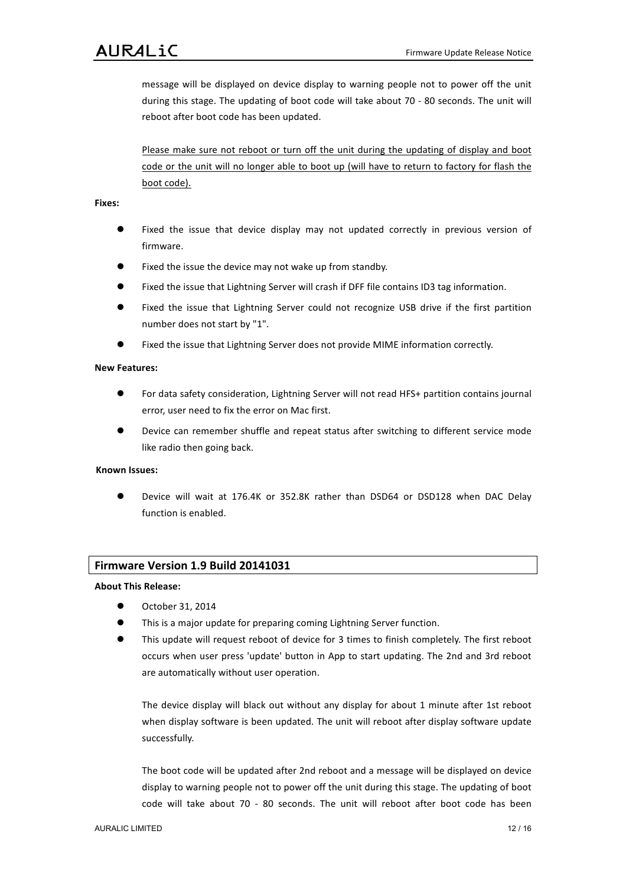message will be displayed on device display to warning people not to power off the unit during this stage. The updating of boot code will take about 70 - 80 seconds. The unit will reboot after boot code has been updated.

Please make sure not reboot or turn off the unit during the updating of display and boot code or the unit will no longer able to boot up (will have to return to factory for flash the boot code).

### **Fixes:**

- Fixed the issue that device display may not updated correctly in previous version of firmware.
- Fixed the issue the device may not wake up from standby.
- Fixed the issue that Lightning Server will crash if DFF file contains ID3 tag information.
- $\bullet$  Fixed the issue that Lightning Server could not recognize USB drive if the first partition number does not start by "1".
- Fixed the issue that Lightning Server does not provide MIME information correctly.

# **New!Features:**

- For data safety consideration, Lightning Server will not read HFS+ partition contains journal error, user need to fix the error on Mac first.
- Device can remember shuffle and repeat status after switching to different service mode like radio then going back.

#### **Known!Issues:**

Device will wait at 176.4K or 352.8K rather than DSD64 or DSD128 when DAC Delay function is enabled.

# **Firmware Version 1.9 Build 20141031**

# **About!This!Release:**

- October 31, 2014
- This is a major update for preparing coming Lightning Server function.
- This update will request reboot of device for 3 times to finish completely. The first reboot occurs when user press 'update' button in App to start updating. The 2nd and 3rd reboot are automatically without user operation.

The device display will black out without any display for about 1 minute after 1st reboot when display software is been updated. The unit will reboot after display software update successfully.

The boot code will be updated after 2nd reboot and a message will be displayed on device display to warning people not to power off the unit during this stage. The updating of boot code will take about 70 - 80 seconds. The unit will reboot after boot code has been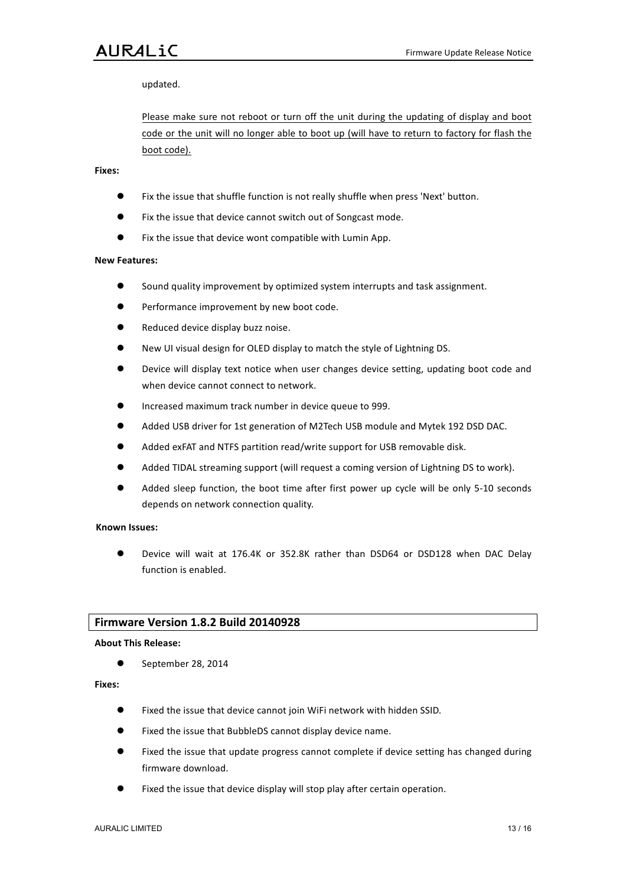# AURALiC

updated.

Please make sure not reboot or turn off the unit during the updating of display and boot code or the unit will no longer able to boot up (will have to return to factory for flash the boot code).

# **Fixes:**

- Fix the issue that shuffle function is not really shuffle when press 'Next' button.
- Fix the issue that device cannot switch out of Songcast mode.
- Fix the issue that device wont compatible with Lumin App.

# **New!Features:**

- $\bullet$  Sound quality improvement by optimized system interrupts and task assignment.
- $\bullet$  Performance improvement by new boot code.
- Reduced device display buzz noise.
- New UI visual design for OLED display to match the style of Lightning DS.
- Device will display text notice when user changes device setting, updating boot code and when device cannot connect to network.
- Increased maximum track number in device queue to 999.
- Added USB driver for 1st generation of M2Tech USB module and Mytek 192 DSD DAC.
- Added exFAT and NTFS partition read/write support for USB removable disk.
- Added TIDAL streaming support (will request a coming version of Lightning DS to work).
- Added sleep function, the boot time after first power up cycle will be only 5-10 seconds depends on network connection quality.

#### **Known!Issues:**

Device will wait at 176.4K or 352.8K rather than DSD64 or DSD128 when DAC Delay function is enabled.

# **Firmware Version 1.8.2 Build 20140928**

#### **About!This!Release:**

 $\bullet$  September 28, 2014

#### **Fixes:**

- $\bullet$  Fixed the issue that device cannot join WiFi network with hidden SSID.
- **.** Fixed the issue that BubbleDS cannot display device name.
- Fixed the issue that update progress cannot complete if device setting has changed during firmware download.
- Fixed the issue that device display will stop play after certain operation.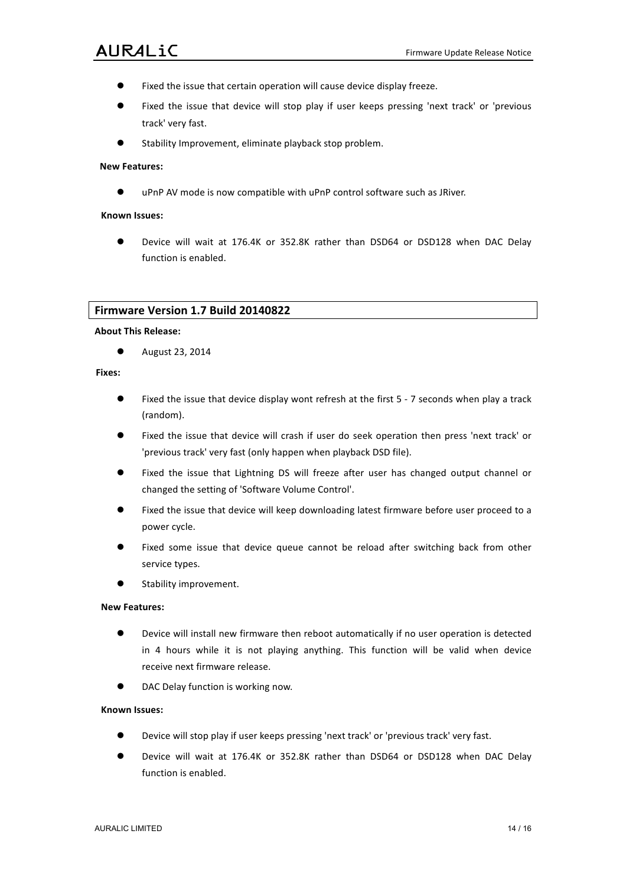- Fixed the issue that certain operation will cause device display freeze.
- Fixed the issue that device will stop play if user keeps pressing 'next track' or 'previous track' very fast.
- Stability Improvement, eliminate playback stop problem.

# **New!Features:**

● uPnP AV mode is now compatible with uPnP control software such as JRiver.

### **Known!Issues:**

 $\bullet$  Device will wait at 176.4K or 352.8K rather than DSD64 or DSD128 when DAC Delay function is enabled.

## **Firmware Version 1.7 Build 20140822**

## **About!This!Release:**

**•** August 23, 2014

#### **Fixes:**

- Fixed the issue that device display wont refresh at the first 5 7 seconds when play a track (random).
- Fixed the issue that device will crash if user do seek operation then press 'next track' or 'previous track' very fast (only happen when playback DSD file).
- Fixed the issue that Lightning DS will freeze after user has changed output channel or changed the setting of 'Software Volume Control'.
- Fixed the issue that device will keep downloading latest firmware before user proceed to a power cycle.
- Fixed some issue that device queue cannot be reload after switching back from other service types.
- **•** Stability improvement.

# **New Features:**

- Device will install new firmware then reboot automatically if no user operation is detected in 4 hours while it is not playing anything. This function will be valid when device receive next firmware release.
- DAC Delay function is working now.

- Device will stop play if user keeps pressing 'next track' or 'previous track' very fast.
- $\bullet$  Device will wait at 176.4K or 352.8K rather than DSD64 or DSD128 when DAC Delay function is enabled.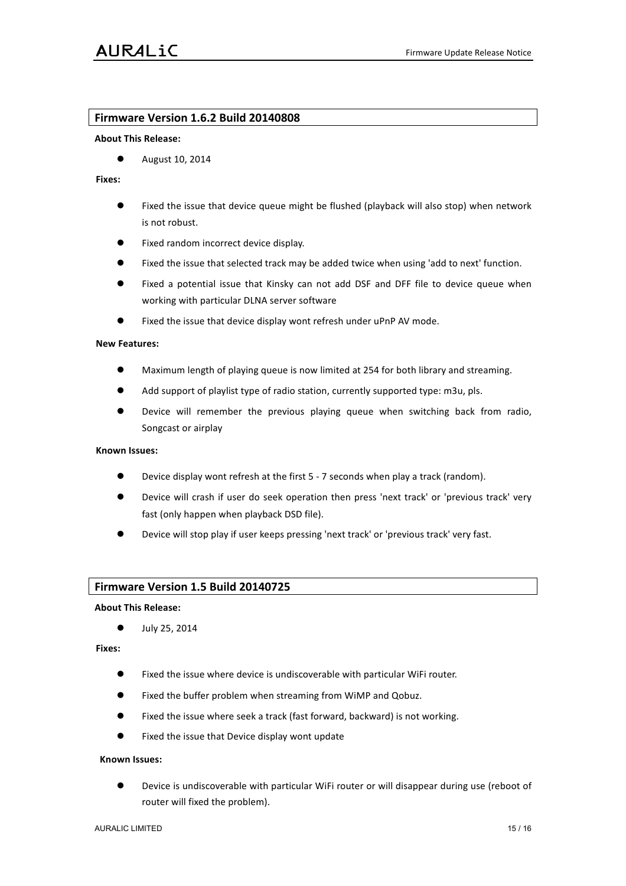# **Firmware!Version!1.6.2!Build!20140808**

#### **About!This!Release:**

 $\bullet$  August 10, 2014

### **Fixes:**

- Fixed the issue that device queue might be flushed (playback will also stop) when network is not robust.
- Fixed random incorrect device display.
- Fixed the issue that selected track may be added twice when using 'add to next' function.
- $\bullet$  Fixed a potential issue that Kinsky can not add DSF and DFF file to device queue when working with particular DLNA server software
- Fixed the issue that device display wont refresh under uPnP AV mode.

## **New!Features:**

- Maximum length of playing queue is now limited at 254 for both library and streaming.
- Add support of playlist type of radio station, currently supported type: m3u, pls.
- Device will remember the previous playing queue when switching back from radio, Songcast or airplay

# **Known!Issues:**

- Device display wont refresh at the first 5 7 seconds when play a track (random).
- Device will crash if user do seek operation then press 'next track' or 'previous track' very fast (only happen when playback DSD file).
- Device will stop play if user keeps pressing 'next track' or 'previous track' very fast.

## **Firmware Version 1.5 Build 20140725**

#### **About!This!Release:**

 $\bullet$  July 25, 2014

### **Fixes:**

- $\bullet$  Fixed the issue where device is undiscoverable with particular WiFi router.
- **Fixed the buffer problem when streaming from WiMP and Qobuz.**
- Fixed the issue where seek a track (fast forward, backward) is not working.
- Fixed the issue that Device display wont update

#### **Known!Issues:**

Device is undiscoverable with particular WiFi router or will disappear during use (reboot of router will fixed the problem).